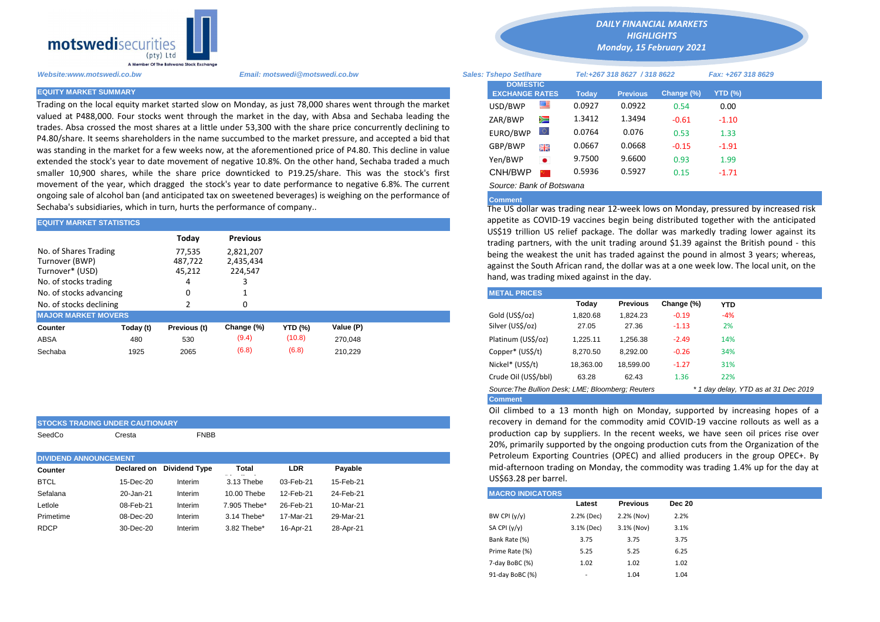

**STOCKS TRADING UNDER CAUTIONARY**

SeedCo Cresta **FNBB** 

Trading on the local equity market started slow on Monday, as just 78,000 shares went through the market valued at P488,000. Four stocks went through the market in the day, with Absa and Sechaba leading the trades. Absa crossed the most shares at a little under 53,300 with the share price concurrently declining to P4.80/share. It seems shareholders in the name succumbed to the market pressure, and accepted a bid that was standing in the market for a few weeks now, at the aforementioned price of P4.80. This decline in value extended the stock's year to date movement of negative 10.8%. On the other hand, Sechaba traded a much smaller 10,900 shares, while the share price downticked to P19.25/share. This was the stock's first movement of the year, which dragged the stock's year to date performance to negative 6.8%. The current ongoing sale of alcohol ban (and anticipated tax on sweetened beverages) is weighing on the performance of Sechaba's subsidiaries, which in turn, hurts the performance of company..

| <b>EQUITY MARKET STATISTICS</b>                                                     |           |                                                                  |                 | appetite as COVID-19 vaccines begin being distributed together with |                                                                                                                                                                                             |  |                                                                                                                                                |          |                 |            |            |  |  |  |  |
|-------------------------------------------------------------------------------------|-----------|------------------------------------------------------------------|-----------------|---------------------------------------------------------------------|---------------------------------------------------------------------------------------------------------------------------------------------------------------------------------------------|--|------------------------------------------------------------------------------------------------------------------------------------------------|----------|-----------------|------------|------------|--|--|--|--|
|                                                                                     |           | Today                                                            | <b>Previous</b> |                                                                     |                                                                                                                                                                                             |  | US\$19 trillion US relief package. The dollar was markedly trading I<br>trading partners, with the unit trading around \$1.39 against the Brit |          |                 |            |            |  |  |  |  |
| No. of Shares Trading<br>Turnover (BWP)<br>Turnover* (USD)<br>No. of stocks trading |           | 77,535<br>2.821.207<br>487,722<br>2,435,434<br>45,212<br>224,547 |                 |                                                                     | being the weakest the unit has traded against the pound in almost 3<br>against the South African rand, the dollar was at a one week low. The<br>hand, was trading mixed against in the day. |  |                                                                                                                                                |          |                 |            |            |  |  |  |  |
| No. of stocks advancing                                                             |           |                                                                  |                 |                                                                     |                                                                                                                                                                                             |  | <b>METAL PRICES</b>                                                                                                                            |          |                 |            |            |  |  |  |  |
| No. of stocks declining                                                             |           |                                                                  |                 |                                                                     |                                                                                                                                                                                             |  |                                                                                                                                                | Today    | <b>Previous</b> | Change (%) | <b>YTD</b> |  |  |  |  |
| <b>MAJOR MARKET MOVERS</b>                                                          |           |                                                                  |                 |                                                                     |                                                                                                                                                                                             |  | Gold (US\$/oz)                                                                                                                                 | 1,820.68 | 1.824.23        | $-0.19$    | $-4%$      |  |  |  |  |
| <b>Counter</b>                                                                      | Today (t) | Previous (t)                                                     | Change (%)      | <b>YTD (%)</b>                                                      | Value (P)                                                                                                                                                                                   |  | Silver (US\$/oz)                                                                                                                               | 27.05    | 27.36           | $-1.13$    | 2%         |  |  |  |  |
| ABSA                                                                                | 480       | 530                                                              | (9.4)           | (10.8)                                                              | 270.048                                                                                                                                                                                     |  | Platinum (US\$/oz)                                                                                                                             | 1,225.11 | 1,256.38        | $-2.49$    | 14%        |  |  |  |  |
| Sechaba                                                                             | 1925      | 2065                                                             | (6.8)           | (6.8)                                                               | 210.229                                                                                                                                                                                     |  | Copper* (US\$/t)                                                                                                                               | 8,270.50 | 8,292.00        | $-0.26$    | 34%        |  |  |  |  |

| <b>DIVIDEND ANNOUNCEMENT</b> |           |                           |              |            |           |  |  |  |
|------------------------------|-----------|---------------------------|--------------|------------|-----------|--|--|--|
| Counter                      |           | Declared on Dividend Type | Total        | <b>LDR</b> | Payable   |  |  |  |
| <b>BTCL</b>                  | 15-Dec-20 | Interim                   | 3.13 Thebe   | 03-Feb-21  | 15-Feb-21 |  |  |  |
| Sefalana                     | 20-Jan-21 | Interim                   | 10.00 Thebe  | 12-Feb-21  | 24-Feb-21 |  |  |  |
| Letlole                      | 08-Feb-21 | Interim                   | 7.905 Thebe* | 26-Feb-21  | 10-Mar-21 |  |  |  |
| Primetime                    | 08-Dec-20 | Interim                   | 3.14 Thebe*  | 17-Mar-21  | 29-Mar-21 |  |  |  |
| <b>RDCP</b>                  | 30-Dec-20 | Interim                   | 3.82 Thebe*  | 16-Apr-21  | 28-Apr-21 |  |  |  |
|                              |           |                           |              |            |           |  |  |  |

*DAILY FINANCIAL MARKETS HIGHLIGHTS*

*Monday, 15 February 2021* 

| A Member Of the Botswand Stock Exchange |                                                                                                                                                                                                                          |                                          |           |                              |                 |                    |            |  |
|-----------------------------------------|--------------------------------------------------------------------------------------------------------------------------------------------------------------------------------------------------------------------------|------------------------------------------|-----------|------------------------------|-----------------|--------------------|------------|--|
| Website:www.motswedi.co.bw              | <b>Sales: Tshepo Setlhare</b>                                                                                                                                                                                            |                                          |           | Tel:+267 318 8627 / 318 8622 |                 | Fax: +267 318 8629 |            |  |
| <b>EQUITY MARKET SUMMARY</b>            |                                                                                                                                                                                                                          | <b>DOMESTIC</b><br><b>EXCHANGE RATES</b> |           | <b>Today</b>                 | <b>Previous</b> | Change (%)         | YTD $(\%)$ |  |
|                                         | Trading on the local equity market started slow on Monday, as just 78,000 shares went through the market                                                                                                                 | USD/BWP                                  | ≝         | 0.0927                       | 0.0922          | 0.54               | 0.00       |  |
|                                         | valued at P488,000. Four stocks went through the market in the day, with Absa and Sechaba leading the                                                                                                                    | ZAR/BWP                                  | Ň         | 1.3412                       | 1.3494          | $-0.61$            | $-1.10$    |  |
|                                         | trades. Absa crossed the most shares at a little under 53,300 with the share price concurrently declining to<br>P4.80/share. It seems shareholders in the name succumbed to the market pressure, and accepted a bid that | EURO/BWP                                 | Ю.        | 0.0764                       | 0.076           | 0.53               | 1.33       |  |
|                                         | was standing in the market for a few weeks now, at the aforementioned price of P4.80. This decline in value                                                                                                              | GBP/BWP                                  | 꾉똟        | 0.0667                       | 0.0668          | $-0.15$            | $-1.91$    |  |
|                                         | extended the stock's year to date movement of negative 10.8%. On the other hand, Sechaba traded a much                                                                                                                   | Yen/BWP                                  | $\bullet$ | 9.7500                       | 9.6600          | 0.93               | 1.99       |  |
|                                         | smaller 10,900 shares, while the share price downticked to P19.25/share. This was the stock's first                                                                                                                      | CNH/BWP                                  |           | 0.5936                       | 0.5927          | 0.15               | $-1.71$    |  |
|                                         | movement of the year, which dragged the stock's year to date performance to negative 6.8%. The current                                                                                                                   | Source: Bank of Botswana                 |           |                              |                 |                    |            |  |

## **Comment**

The US dollar was trading near 12-week lows on Monday, pressured by increased risk appetite as COVID-19 vaccines begin being distributed together with the anticipated US\$19 trillion US relief package. The dollar was markedly trading lower against its trading partners, with the unit trading around \$1.39 against the British pound - this being the weakest the unit has traded against the pound in almost 3 years; whereas, against the South African rand, the dollar was at a one week low. The local unit, on the hand, was trading mixed against in the day.

| <b>METAL PRICES</b>                                                                       |           |                 |            |       |  |  |  |  |  |  |
|-------------------------------------------------------------------------------------------|-----------|-----------------|------------|-------|--|--|--|--|--|--|
|                                                                                           | Today     | <b>Previous</b> | Change (%) | YTD   |  |  |  |  |  |  |
| Gold (US\$/oz)                                                                            | 1,820.68  | 1.824.23        | $-0.19$    | $-4%$ |  |  |  |  |  |  |
| Silver (US\$/oz)                                                                          | 27.05     | 27.36           | $-1.13$    | 2%    |  |  |  |  |  |  |
| Platinum (US\$/oz)                                                                        | 1.225.11  | 1.256.38        | $-2.49$    | 14%   |  |  |  |  |  |  |
| Copper* (US\$/t)                                                                          | 8,270.50  | 8,292.00        | $-0.26$    | 34%   |  |  |  |  |  |  |
| Nickel* (US\$/t)                                                                          | 18,363.00 | 18,599.00       | $-1.27$    | 31%   |  |  |  |  |  |  |
| Crude Oil (US\$/bbl)                                                                      | 63.28     | 62.43           | 1.36       | 22%   |  |  |  |  |  |  |
| Source: The Bullion Desk: LME: Bloomberg: Reuters<br>* 1 day delay, YTD as at 31 Dec 2019 |           |                 |            |       |  |  |  |  |  |  |
| <b>Comment</b>                                                                            |           |                 |            |       |  |  |  |  |  |  |

Oil climbed to a 13 month high on Monday, supported by increasing hopes of a recovery in demand for the commodity amid COVID-19 vaccine rollouts as well as a production cap by suppliers. In the recent weeks, we have seen oil prices rise over 20%, primarily supported by the ongoing production cuts from the Organization of the Petroleum Exporting Countries (OPEC) and allied producers in the group OPEC+. By mid-afternoon trading on Monday, the commodity was trading 1.4% up for the day at US\$63.28 per barrel.

| <b>MACRO INDICATORS</b> |                              |                 |               |
|-------------------------|------------------------------|-----------------|---------------|
|                         | Latest                       | <b>Previous</b> | <b>Dec 20</b> |
| BW CPI $(y/y)$          | 2.2% (Dec)                   | 2.2% (Nov)      | 2.2%          |
| SA CPI (y/y)            | 3.1% (Dec)                   | 3.1% (Nov)      | 3.1%          |
| Bank Rate (%)           | 3.75                         | 3.75            | 3.75          |
| Prime Rate (%)          | 5.25                         | 5.25            | 6.25          |
| 7-day BoBC (%)          | 1.02                         | 1.02            | 1.02          |
| 91-day BoBC (%)         | $\qquad \qquad \blacksquare$ | 1.04            | 1.04          |